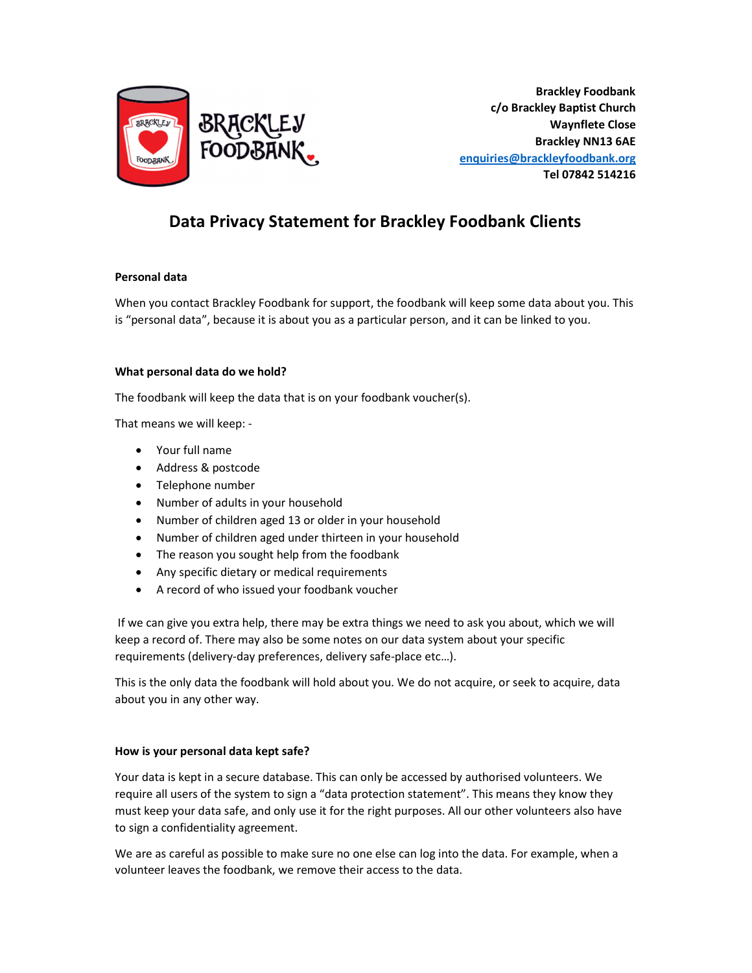

Brackley Foodbank c/o Brackley Baptist Church Waynflete Close Brackley NN13 6AE enquiries@brackleyfoodbank.org Tel 07842 514216

# Data Privacy Statement for Brackley Foodbank Clients

## Personal data

When you contact Brackley Foodbank for support, the foodbank will keep some data about you. This is "personal data", because it is about you as a particular person, and it can be linked to you.

#### What personal data do we hold?

The foodbank will keep the data that is on your foodbank voucher(s).

That means we will keep: -

- Your full name
- Address & postcode
- Telephone number
- Number of adults in your household
- Number of children aged 13 or older in your household
- Number of children aged under thirteen in your household
- The reason you sought help from the foodbank
- Any specific dietary or medical requirements
- A record of who issued your foodbank voucher

 If we can give you extra help, there may be extra things we need to ask you about, which we will keep a record of. There may also be some notes on our data system about your specific requirements (delivery-day preferences, delivery safe-place etc…).

This is the only data the foodbank will hold about you. We do not acquire, or seek to acquire, data about you in any other way.

#### How is your personal data kept safe?

Your data is kept in a secure database. This can only be accessed by authorised volunteers. We require all users of the system to sign a "data protection statement". This means they know they must keep your data safe, and only use it for the right purposes. All our other volunteers also have to sign a confidentiality agreement.

We are as careful as possible to make sure no one else can log into the data. For example, when a volunteer leaves the foodbank, we remove their access to the data.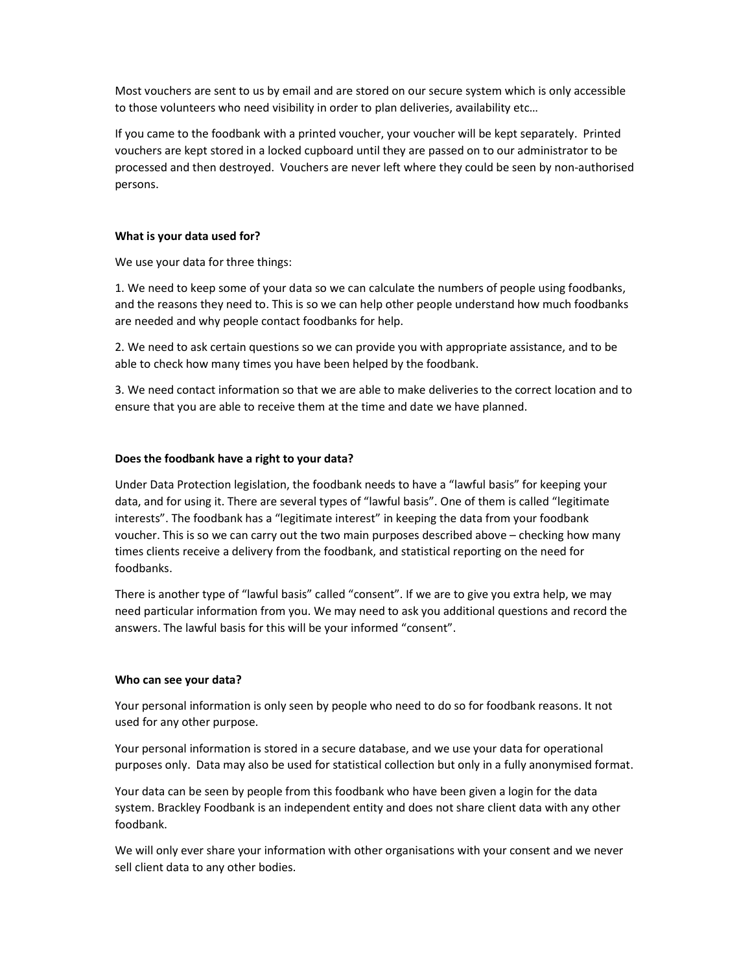Most vouchers are sent to us by email and are stored on our secure system which is only accessible to those volunteers who need visibility in order to plan deliveries, availability etc…

If you came to the foodbank with a printed voucher, your voucher will be kept separately. Printed vouchers are kept stored in a locked cupboard until they are passed on to our administrator to be processed and then destroyed. Vouchers are never left where they could be seen by non-authorised persons.

#### What is your data used for?

We use your data for three things:

1. We need to keep some of your data so we can calculate the numbers of people using foodbanks, and the reasons they need to. This is so we can help other people understand how much foodbanks are needed and why people contact foodbanks for help.

2. We need to ask certain questions so we can provide you with appropriate assistance, and to be able to check how many times you have been helped by the foodbank.

3. We need contact information so that we are able to make deliveries to the correct location and to ensure that you are able to receive them at the time and date we have planned.

#### Does the foodbank have a right to your data?

Under Data Protection legislation, the foodbank needs to have a "lawful basis" for keeping your data, and for using it. There are several types of "lawful basis". One of them is called "legitimate interests". The foodbank has a "legitimate interest" in keeping the data from your foodbank voucher. This is so we can carry out the two main purposes described above – checking how many times clients receive a delivery from the foodbank, and statistical reporting on the need for foodbanks.

There is another type of "lawful basis" called "consent". If we are to give you extra help, we may need particular information from you. We may need to ask you additional questions and record the answers. The lawful basis for this will be your informed "consent".

#### Who can see your data?

Your personal information is only seen by people who need to do so for foodbank reasons. It not used for any other purpose.

Your personal information is stored in a secure database, and we use your data for operational purposes only. Data may also be used for statistical collection but only in a fully anonymised format.

Your data can be seen by people from this foodbank who have been given a login for the data system. Brackley Foodbank is an independent entity and does not share client data with any other foodbank.

We will only ever share your information with other organisations with your consent and we never sell client data to any other bodies.